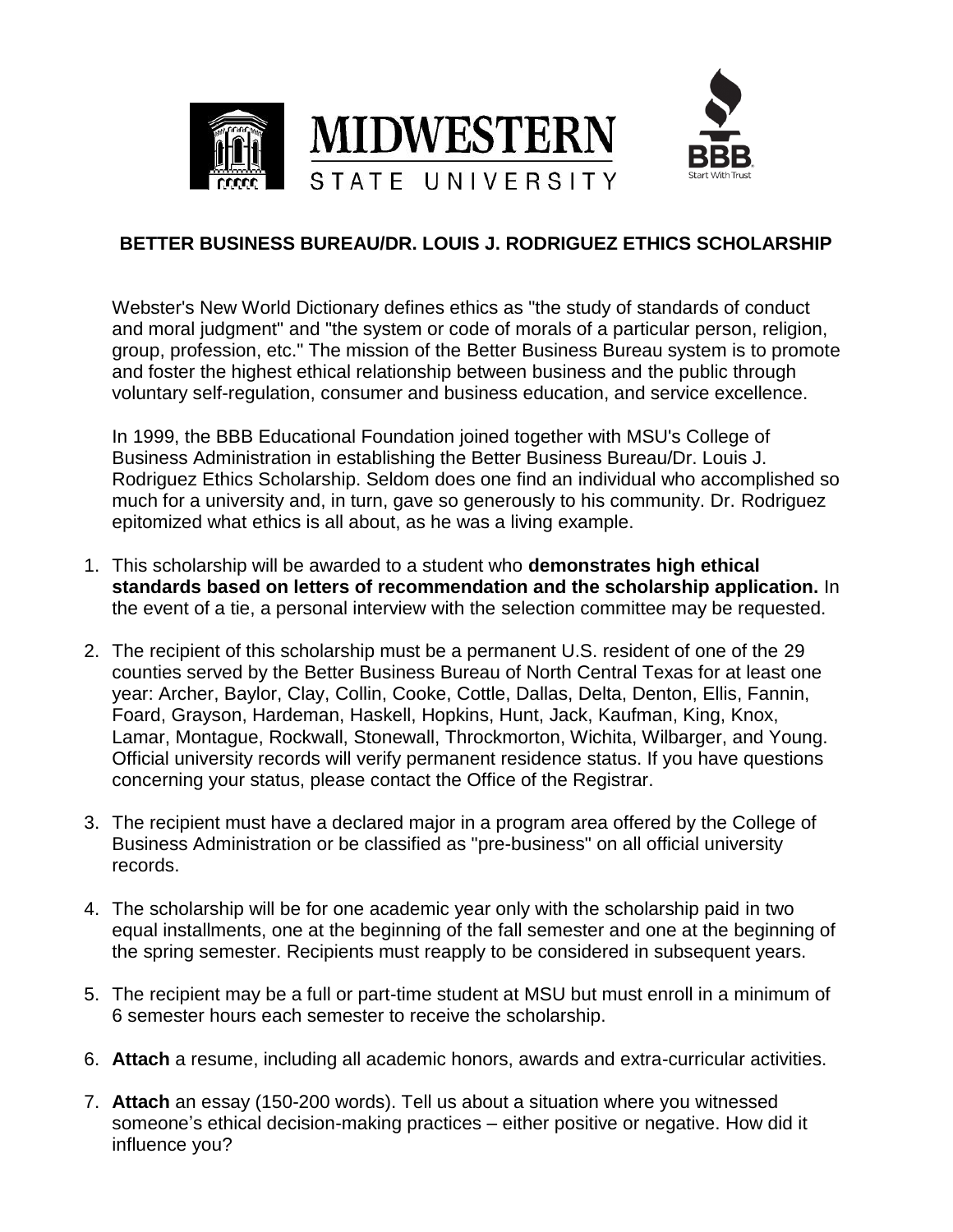

## **BETTER BUSINESS BUREAU/DR. LOUIS J. RODRIGUEZ ETHICS SCHOLARSHIP**

Webster's New World Dictionary defines ethics as "the study of standards of conduct and moral judgment" and "the system or code of morals of a particular person, religion, group, profession, etc." The mission of the Better Business Bureau system is to promote and foster the highest ethical relationship between business and the public through voluntary self-regulation, consumer and business education, and service excellence.

In 1999, the BBB Educational Foundation joined together with MSU's College of Business Administration in establishing the Better Business Bureau/Dr. Louis J. Rodriguez Ethics Scholarship. Seldom does one find an individual who accomplished so much for a university and, in turn, gave so generously to his community. Dr. Rodriguez epitomized what ethics is all about, as he was a living example.

- 1. This scholarship will be awarded to a student who **demonstrates high ethical standards based on letters of recommendation and the scholarship application.** In the event of a tie, a personal interview with the selection committee may be requested.
- 2. The recipient of this scholarship must be a permanent U.S. resident of one of the 29 counties served by the Better Business Bureau of North Central Texas for at least one year: Archer, Baylor, Clay, Collin, Cooke, Cottle, Dallas, Delta, Denton, Ellis, Fannin, Foard, Grayson, Hardeman, Haskell, Hopkins, Hunt, Jack, Kaufman, King, Knox, Lamar, Montague, Rockwall, Stonewall, Throckmorton, Wichita, Wilbarger, and Young. Official university records will verify permanent residence status. If you have questions concerning your status, please contact the Office of the Registrar.
- 3. The recipient must have a declared major in a program area offered by the College of Business Administration or be classified as "pre-business" on all official university records.
- 4. The scholarship will be for one academic year only with the scholarship paid in two equal installments, one at the beginning of the fall semester and one at the beginning of the spring semester. Recipients must reapply to be considered in subsequent years.
- 5. The recipient may be a full or part-time student at MSU but must enroll in a minimum of 6 semester hours each semester to receive the scholarship.
- 6. **Attach** a resume, including all academic honors, awards and extra-curricular activities.
- 7. **Attach** an essay (150-200 words). Tell us about a situation where you witnessed someone's ethical decision-making practices – either positive or negative. How did it influence you?